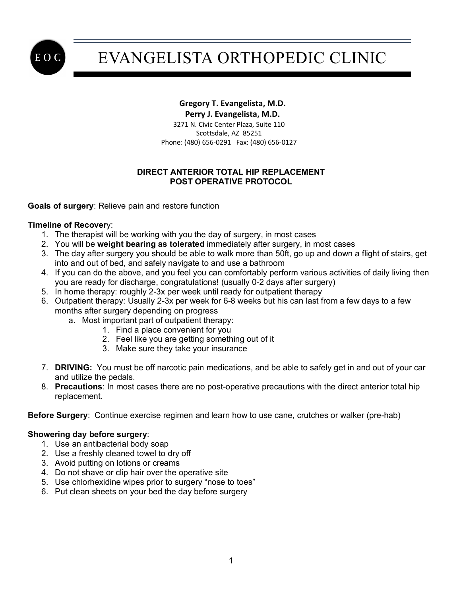

# EVANGELISTA ORTHOPEDIC CLINIC

### **Gregory T. Evangelista, M.D.**

 **Perry J. Evangelista, M.D.**

 3271 N. Civic Center Plaza, Suite 110 Scottsdale, AZ 85251 Phone: (480) 656-0291 Fax: (480) 656-0127

### **DIRECT ANTERIOR TOTAL HIP REPLACEMENT POST OPERATIVE PROTOCOL**

**Goals of surgery**: Relieve pain and restore function

#### **Timeline of Recover**y:

- 1. The therapist will be working with you the day of surgery, in most cases
- 2. You will be **weight bearing as tolerated** immediately after surgery, in most cases
- 3. The day after surgery you should be able to walk more than 50ft, go up and down a flight of stairs, get into and out of bed, and safely navigate to and use a bathroom
- 4. If you can do the above, and you feel you can comfortably perform various activities of daily living then you are ready for discharge, congratulations! (usually 0-2 days after surgery)
- 5. In home therapy: roughly 2-3x per week until ready for outpatient therapy
- 6. Outpatient therapy: Usually 2-3x per week for 6-8 weeks but his can last from a few days to a few months after surgery depending on progress
	- a. Most important part of outpatient therapy:
		- 1. Find a place convenient for you
		- 2. Feel like you are getting something out of it
		- 3. Make sure they take your insurance
- 7. **DRIVING:** You must be off narcotic pain medications, and be able to safely get in and out of your car and utilize the pedals.
- 8. **Precautions**: In most cases there are no post-operative precautions with the direct anterior total hip replacement.

**Before Surgery**: Continue exercise regimen and learn how to use cane, crutches or walker (pre-hab)

#### **Showering day before surgery**:

- 1. Use an antibacterial body soap
- 2. Use a freshly cleaned towel to dry off
- 3. Avoid putting on lotions or creams
- 4. Do not shave or clip hair over the operative site
- 5. Use chlorhexidine wipes prior to surgery "nose to toes"
- 6. Put clean sheets on your bed the day before surgery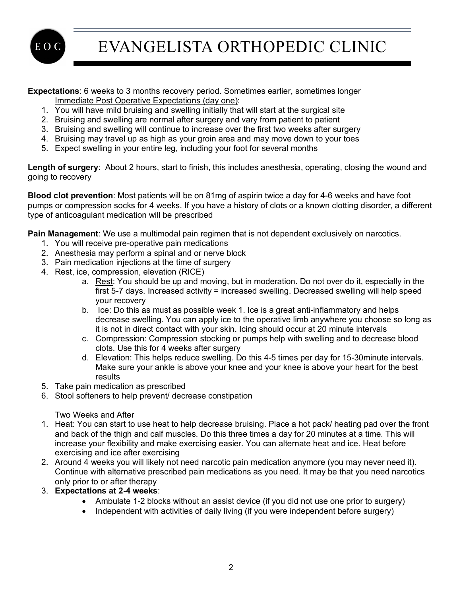E O C

EVANGELISTA ORTHOPEDIC CLINIC

**Expectations**: 6 weeks to 3 months recovery period. Sometimes earlier, sometimes longer Immediate Post Operative Expectations (day one):

- 1. You will have mild bruising and swelling initially that will start at the surgical site
- 2. Bruising and swelling are normal after surgery and vary from patient to patient
- 3. Bruising and swelling will continue to increase over the first two weeks after surgery
- 4. Bruising may travel up as high as your groin area and may move down to your toes
- 5. Expect swelling in your entire leg, including your foot for several months

**Length of surgery**: About 2 hours, start to finish, this includes anesthesia, operating, closing the wound and going to recovery

**Blood clot prevention**: Most patients will be on 81mg of aspirin twice a day for 4-6 weeks and have foot pumps or compression socks for 4 weeks. If you have a history of clots or a known clotting disorder, a different type of anticoagulant medication will be prescribed

**Pain Management**: We use a multimodal pain regimen that is not dependent exclusively on narcotics.

- 1. You will receive pre-operative pain medications
- 2. Anesthesia may perform a spinal and or nerve block
- 3. Pain medication injections at the time of surgery
- 4. Rest, ice, compression, elevation (RICE)
	- a. Rest: You should be up and moving, but in moderation. Do not over do it, especially in the first 5-7 days. Increased activity = increased swelling. Decreased swelling will help speed your recovery
	- b. Ice: Do this as must as possible week 1. Ice is a great anti-inflammatory and helps decrease swelling. You can apply ice to the operative limb anywhere you choose so long as it is not in direct contact with your skin. Icing should occur at 20 minute intervals
	- c. Compression: Compression stocking or pumps help with swelling and to decrease blood clots. Use this for 4 weeks after surgery
	- d. Elevation: This helps reduce swelling. Do this 4-5 times per day for 15-30minute intervals. Make sure your ankle is above your knee and your knee is above your heart for the best results
- 5. Take pain medication as prescribed
- 6. Stool softeners to help prevent/ decrease constipation

#### Two Weeks and After

- 1. Heat: You can start to use heat to help decrease bruising. Place a hot pack/ heating pad over the front and back of the thigh and calf muscles. Do this three times a day for 20 minutes at a time. This will increase your flexibility and make exercising easier. You can alternate heat and ice. Heat before exercising and ice after exercising
- 2. Around 4 weeks you will likely not need narcotic pain medication anymore (you may never need it). Continue with alternative prescribed pain medications as you need. It may be that you need narcotics only prior to or after therapy
- 3. **Expectations at 2-4 weeks**:
	- Ambulate 1-2 blocks without an assist device (if you did not use one prior to surgery)
	- Independent with activities of daily living (if you were independent before surgery)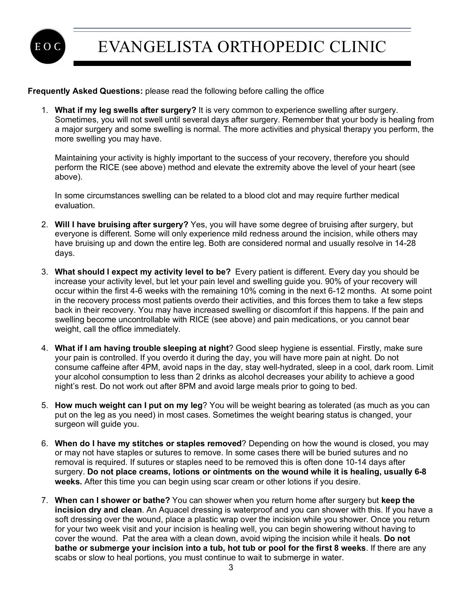

#### **Frequently Asked Questions:** please read the following before calling the office

1. **What if my leg swells after surgery?** It is very common to experience swelling after surgery. Sometimes, you will not swell until several days after surgery. Remember that your body is healing from a major surgery and some swelling is normal. The more activities and physical therapy you perform, the more swelling you may have.

Maintaining your activity is highly important to the success of your recovery, therefore you should perform the RICE (see above) method and elevate the extremity above the level of your heart (see above).

In some circumstances swelling can be related to a blood clot and may require further medical evaluation.

- 2. **Will I have bruising after surgery?** Yes, you will have some degree of bruising after surgery, but everyone is different. Some will only experience mild redness around the incision, while others may have bruising up and down the entire leg. Both are considered normal and usually resolve in 14-28 days.
- 3. **What should I expect my activity level to be?** Every patient is different. Every day you should be increase your activity level, but let your pain level and swelling guide you. 90% of your recovery will occur within the first 4-6 weeks with the remaining 10% coming in the next 6-12 months. At some point in the recovery process most patients overdo their activities, and this forces them to take a few steps back in their recovery. You may have increased swelling or discomfort if this happens. If the pain and swelling become uncontrollable with RICE (see above) and pain medications, or you cannot bear weight, call the office immediately.
- 4. **What if I am having trouble sleeping at night**? Good sleep hygiene is essential. Firstly, make sure your pain is controlled. If you overdo it during the day, you will have more pain at night. Do not consume caffeine after 4PM, avoid naps in the day, stay well-hydrated, sleep in a cool, dark room. Limit your alcohol consumption to less than 2 drinks as alcohol decreases your ability to achieve a good night's rest. Do not work out after 8PM and avoid large meals prior to going to bed.
- 5. **How much weight can I put on my leg**? You will be weight bearing as tolerated (as much as you can put on the leg as you need) in most cases. Sometimes the weight bearing status is changed, your surgeon will guide you.
- 6. **When do I have my stitches or staples removed**? Depending on how the wound is closed, you may or may not have staples or sutures to remove. In some cases there will be buried sutures and no removal is required. If sutures or staples need to be removed this is often done 10-14 days after surgery. **Do not place creams, lotions or ointments on the wound while it is healing, usually 6-8 weeks.** After this time you can begin using scar cream or other lotions if you desire.
- 7. **When can I shower or bathe?** You can shower when you return home after surgery but **keep the incision dry and clean**. An Aquacel dressing is waterproof and you can shower with this. If you have a soft dressing over the wound, place a plastic wrap over the incision while you shower. Once you return for your two week visit and your incision is healing well, you can begin showering without having to cover the wound. Pat the area with a clean down, avoid wiping the incision while it heals. **Do not bathe or submerge your incision into a tub, hot tub or pool for the first 8 weeks**. If there are any scabs or slow to heal portions, you must continue to wait to submerge in water.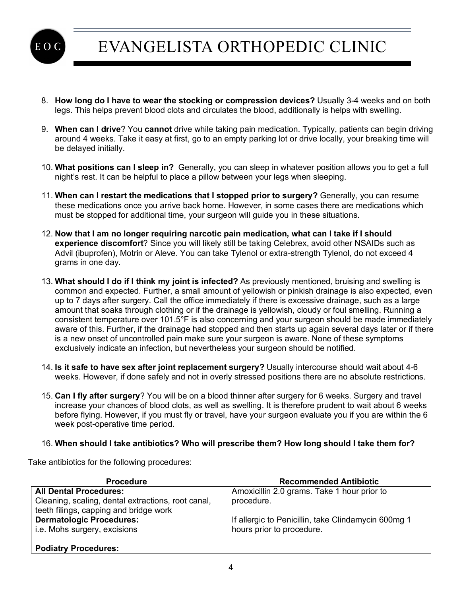

## EVANGELISTA ORTHOPEDIC CLINIC

- 8. **How long do I have to wear the stocking or compression devices?** Usually 3-4 weeks and on both legs. This helps prevent blood clots and circulates the blood, additionally is helps with swelling.
- 9. **When can I drive**? You **cannot** drive while taking pain medication. Typically, patients can begin driving around 4 weeks. Take it easy at first, go to an empty parking lot or drive locally, your breaking time will be delayed initially.
- 10. **What positions can I sleep in?** Generally, you can sleep in whatever position allows you to get a full night's rest. It can be helpful to place a pillow between your legs when sleeping.
- 11. **When can I restart the medications that I stopped prior to surgery?** Generally, you can resume these medications once you arrive back home. However, in some cases there are medications which must be stopped for additional time, your surgeon will guide you in these situations.
- 12. **Now that I am no longer requiring narcotic pain medication, what can I take if I should experience discomfort**? Since you will likely still be taking Celebrex, avoid other NSAIDs such as Advil (ibuprofen), Motrin or Aleve. You can take Tylenol or extra-strength Tylenol, do not exceed 4 grams in one day.
- 13. **What should I do if I think my joint is infected?** As previously mentioned, bruising and swelling is common and expected. Further, a small amount of yellowish or pinkish drainage is also expected, even up to 7 days after surgery. Call the office immediately if there is excessive drainage, such as a large amount that soaks through clothing or if the drainage is yellowish, cloudy or foul smelling. Running a consistent temperature over 101.5°F is also concerning and your surgeon should be made immediately aware of this. Further, if the drainage had stopped and then starts up again several days later or if there is a new onset of uncontrolled pain make sure your surgeon is aware. None of these symptoms exclusively indicate an infection, but nevertheless your surgeon should be notified.
- 14. **Is it safe to have sex after joint replacement surgery?** Usually intercourse should wait about 4-6 weeks. However, if done safely and not in overly stressed positions there are no absolute restrictions.
- 15. **Can I fly after surgery**? You will be on a blood thinner after surgery for 6 weeks. Surgery and travel increase your chances of blood clots, as well as swelling. It is therefore prudent to wait about 6 weeks before flying. However, if you must fly or travel, have your surgeon evaluate you if you are within the 6 week post-operative time period.

#### 16. **When should I take antibiotics? Who will prescribe them? How long should I take them for?**

Take antibiotics for the following procedures:

| <b>Procedure</b>                                   | <b>Recommended Antibiotic</b>                       |
|----------------------------------------------------|-----------------------------------------------------|
| <b>All Dental Procedures:</b>                      | Amoxicillin 2.0 grams. Take 1 hour prior to         |
| Cleaning, scaling, dental extractions, root canal, | procedure.                                          |
| teeth filings, capping and bridge work             |                                                     |
| <b>Dermatologic Procedures:</b>                    | If allergic to Penicillin, take Clindamycin 600mg 1 |
| i.e. Mohs surgery, excisions                       | hours prior to procedure.                           |
|                                                    |                                                     |
| <b>Podiatry Procedures:</b>                        |                                                     |